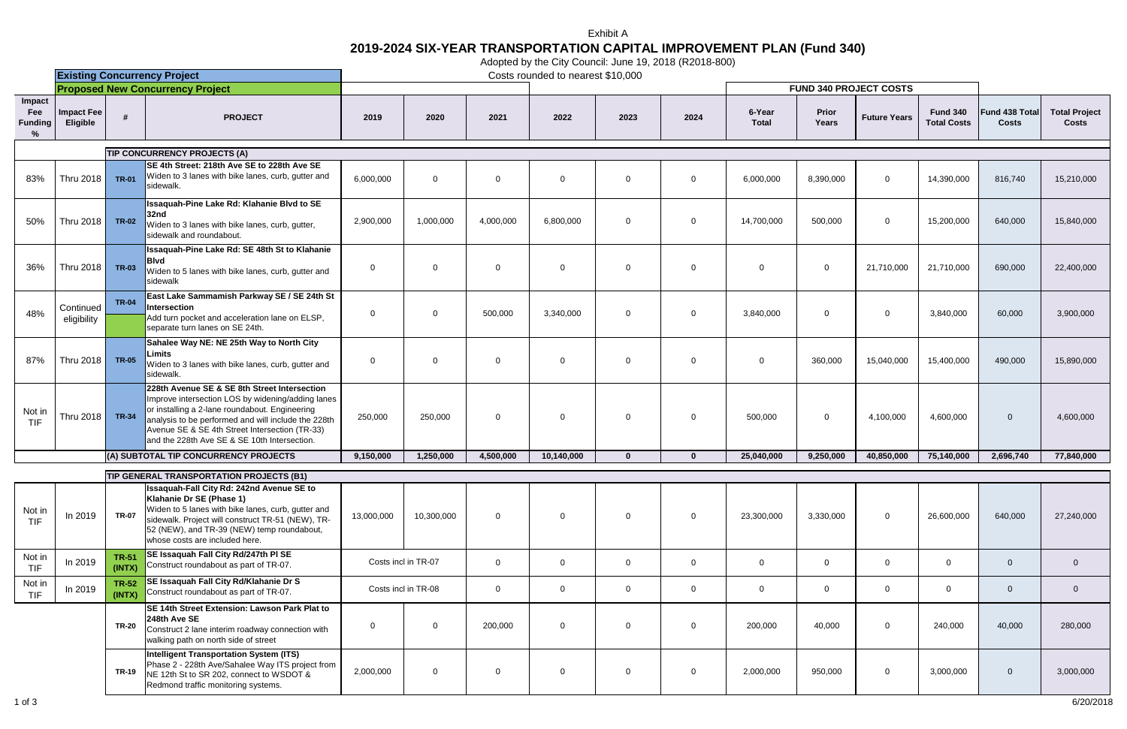|                                                 | <b>Existing Concurrency Project</b>     |                        |                                                                                                                                                                                                                                                                                                              | $\frac{1}{2}$ approach $\frac{1}{2}$ and $\frac{1}{2}$ and $\frac{1}{2}$ and $\frac{1}{2}$ and $\frac{1}{2}$ and $\frac{1}{2}$ and $\frac{1}{2}$ and $\frac{1}{2}$ and $\frac{1}{2}$ and $\frac{1}{2}$ and $\frac{1}{2}$ and $\frac{1}{2}$ and $\frac{1}{2}$ and $\frac{1}{2}$ and $\frac{1}{$<br>Costs rounded to nearest \$10,000 |                |                |                |                |                |                               |                       |                     |                                       |                                |                                      |
|-------------------------------------------------|-----------------------------------------|------------------------|--------------------------------------------------------------------------------------------------------------------------------------------------------------------------------------------------------------------------------------------------------------------------------------------------------------|-------------------------------------------------------------------------------------------------------------------------------------------------------------------------------------------------------------------------------------------------------------------------------------------------------------------------------------|----------------|----------------|----------------|----------------|----------------|-------------------------------|-----------------------|---------------------|---------------------------------------|--------------------------------|--------------------------------------|
|                                                 | <b>Proposed New Concurrency Project</b> |                        |                                                                                                                                                                                                                                                                                                              |                                                                                                                                                                                                                                                                                                                                     |                |                |                |                |                | <b>FUND 340 PROJECT COSTS</b> |                       |                     |                                       |                                |                                      |
| Impact<br>Fee<br><b>Funding</b><br>$\%$         | Impact Fee<br>Eligible                  |                        | <b>PROJECT</b>                                                                                                                                                                                                                                                                                               | 2019                                                                                                                                                                                                                                                                                                                                | 2020           | 2021           | 2022           | 2023           | 2024           | 6-Year<br><b>Total</b>        | <b>Prior</b><br>Years | <b>Future Years</b> | <b>Fund 340</b><br><b>Total Costs</b> | Fund 438 Total<br><b>Costs</b> | <b>Total Project</b><br><b>Costs</b> |
|                                                 |                                         |                        | TIP CONCURRENCY PROJECTS (A)                                                                                                                                                                                                                                                                                 |                                                                                                                                                                                                                                                                                                                                     |                |                |                |                |                |                               |                       |                     |                                       |                                |                                      |
| 83%                                             | Thru 2018                               | <b>TR-01</b>           | SE 4th Street: 218th Ave SE to 228th Ave SE<br>Widen to 3 lanes with bike lanes, curb, gutter and<br>sidewalk.                                                                                                                                                                                               | 6,000,000                                                                                                                                                                                                                                                                                                                           | $\mathbf{0}$   | $\Omega$       | $\Omega$       | $\Omega$       | $\overline{0}$ | 6,000,000                     | 8,390,000             | $\mathbf{0}$        | 14,390,000                            | 816,740                        | 15,210,000                           |
| 50%                                             | Thru 2018                               | <b>TR-02</b>           | Issaquah-Pine Lake Rd: Klahanie Blvd to SE<br>32nd<br>Widen to 3 lanes with bike lanes, curb, gutter,<br>sidewalk and roundabout.                                                                                                                                                                            | 2,900,000                                                                                                                                                                                                                                                                                                                           | 1,000,000      | 4,000,000      | 6,800,000      | $\mathbf{0}$   | $\mathbf 0$    | 14,700,000                    | 500,000               | $\mathbf{0}$        | 15,200,000                            | 640,000                        | 15,840,000                           |
| 36%                                             | Thru 2018                               | <b>TR-03</b>           | Issaquah-Pine Lake Rd: SE 48th St to Klahanie<br><b>Blvd</b><br>Widen to 5 lanes with bike lanes, curb, gutter and<br>sidewalk                                                                                                                                                                               | $\mathbf{0}$                                                                                                                                                                                                                                                                                                                        | $\overline{0}$ | $\Omega$       | $\Omega$       | $\Omega$       | $\mathbf 0$    | $\Omega$                      | $\mathbf 0$           | 21,710,000          | 21,710,000                            | 690,000                        | 22,400,000                           |
| 48%                                             | Continued<br>eligibility                | <b>TR-04</b>           | East Lake Sammamish Parkway SE / SE 24th St<br><b>Intersection</b><br>Add turn pocket and acceleration lane on ELSP,<br>separate turn lanes on SE 24th.                                                                                                                                                      | $\mathbf 0$                                                                                                                                                                                                                                                                                                                         | $\mathbf 0$    | 500,000        | 3,340,000      | $\overline{0}$ | $\mathbf{0}$   | 3,840,000                     | $\overline{0}$        | $\mathbf{0}$        | 3,840,000                             | 60,000                         | 3,900,000                            |
| 87%                                             | Thru 2018                               | <b>TR-05</b>           | Sahalee Way NE: NE 25th Way to North City<br>Limits<br>Widen to 3 lanes with bike lanes, curb, gutter and<br>sidewalk.                                                                                                                                                                                       | $\mathbf 0$                                                                                                                                                                                                                                                                                                                         | $\mathbf 0$    | $\Omega$       | $\Omega$       | $\Omega$       | $\mathbf 0$    | $\Omega$                      | 360,000               | 15,040,000          | 15,400,000                            | 490,000                        | 15,890,000                           |
| Not in<br>TIF                                   | Thru 2018                               | <b>TR-34</b>           | 228th Avenue SE & SE 8th Street Intersection<br>Improve intersection LOS by widening/adding lanes<br>or installing a 2-lane roundabout. Engineering<br>analysis to be performed and will include the 228th<br>Avenue SE & SE 4th Street Intersection (TR-33)<br>and the 228th Ave SE & SE 10th Intersection. | 250,000                                                                                                                                                                                                                                                                                                                             | 250,000        | $\overline{0}$ | $\mathbf{0}$   | $\mathbf{0}$   | $\mathbf 0$    | 500,000                       | $\mathbf 0$           | 4,100,000           | 4,600,000                             | $\overline{0}$                 | 4,600,000                            |
|                                                 |                                         |                        | (A) SUBTOTAL TIP CONCURRENCY PROJECTS                                                                                                                                                                                                                                                                        | 9,150,000                                                                                                                                                                                                                                                                                                                           | 1,250,000      | 4,500,000      | 10,140,000     | $\mathbf{0}$   | $\mathbf{0}$   | 25,040,000                    | 9,250,000             | 40,850,000          | 75,140,000                            | 2,696,740                      | 77,840,000                           |
| <b>TIP GENERAL TRANSPORTATION PROJECTS (B1)</b> |                                         |                        |                                                                                                                                                                                                                                                                                                              |                                                                                                                                                                                                                                                                                                                                     |                |                |                |                |                |                               |                       |                     |                                       |                                |                                      |
| Not in<br><b>TIF</b>                            | In 2019                                 | <b>TR-07</b>           | Issaquah-Fall City Rd: 242nd Avenue SE to<br>Klahanie Dr SE (Phase 1)<br>Widen to 5 lanes with bike lanes, curb, gutter and<br>sidewalk. Project will construct TR-51 (NEW), TR-<br>52 (NEW), and TR-39 (NEW) temp roundabout,<br>whose costs are included here.                                             | 13,000,000                                                                                                                                                                                                                                                                                                                          | 10,300,000     | $\Omega$       | $\overline{0}$ | $\mathbf{0}$   | $\mathbf{0}$   | 23,300,000                    | 3,330,000             | $\mathbf 0$         | 26,600,000                            | 640,000                        | 27,240,000                           |
| Not in<br>TIF                                   | In 2019                                 | <b>TR-51</b><br>(INTX) | SE Issaquah Fall City Rd/247th PI SE<br>Construct roundabout as part of TR-07.                                                                                                                                                                                                                               | Costs incl in TR-07                                                                                                                                                                                                                                                                                                                 |                | $\overline{0}$ | $\overline{0}$ | $\mathbf{0}$   | $\mathbf 0$    | $\overline{0}$                | $\mathbf 0$           | $\mathbf{0}$        | $\overline{0}$                        | $\mathbf{0}$                   | $\overline{0}$                       |
| Not in<br><b>TIF</b>                            | In 2019                                 | <b>TR-52</b><br>(INTX) | SE Issaquah Fall City Rd/Klahanie Dr S<br>Construct roundabout as part of TR-07.                                                                                                                                                                                                                             | Costs incl in TR-08                                                                                                                                                                                                                                                                                                                 |                | $\overline{0}$ | $\overline{0}$ | $\overline{0}$ | $\overline{0}$ | $\overline{0}$                | $\mathbf 0$           | $\mathbf 0$         | $\overline{0}$                        | $\overline{0}$                 | $\overline{0}$                       |
|                                                 |                                         | <b>TR-20</b>           | SE 14th Street Extension: Lawson Park Plat to<br>248th Ave SE<br>Construct 2 lane interim roadway connection with<br>walking path on north side of street                                                                                                                                                    | $\mathbf 0$                                                                                                                                                                                                                                                                                                                         | $\mathbf 0$    | 200,000        | $\mathbf{0}$   | $\mathbf{0}$   | $\mathbf 0$    | 200,000                       | 40,000                | $\mathbf 0$         | 240,000                               | 40,000                         | 280,000                              |
|                                                 |                                         | <b>TR-19</b>           | <b>Intelligent Transportation System (ITS)</b><br>Phase 2 - 228th Ave/Sahalee Way ITS project from<br>NE 12th St to SR 202, connect to WSDOT &<br>Redmond traffic monitoring systems.                                                                                                                        | 2,000,000                                                                                                                                                                                                                                                                                                                           | $\mathbf 0$    | $\overline{0}$ | $\mathbf 0$    | $\mathbf{0}$   | $\mathbf 0$    | 2,000,000                     | 950,000               | $\mathbf 0$         | 3,000,000                             | $\overline{0}$                 | 3,000,000                            |

## Exhibit A

## **2019-2024 SIX-YEAR TRANSPORTATION CAPITAL IMPROVEMENT PLAN (Fund 340)**

Adopted by the City Council: June 19, 2018 (R2018-800)

1 of 3 6/20/2018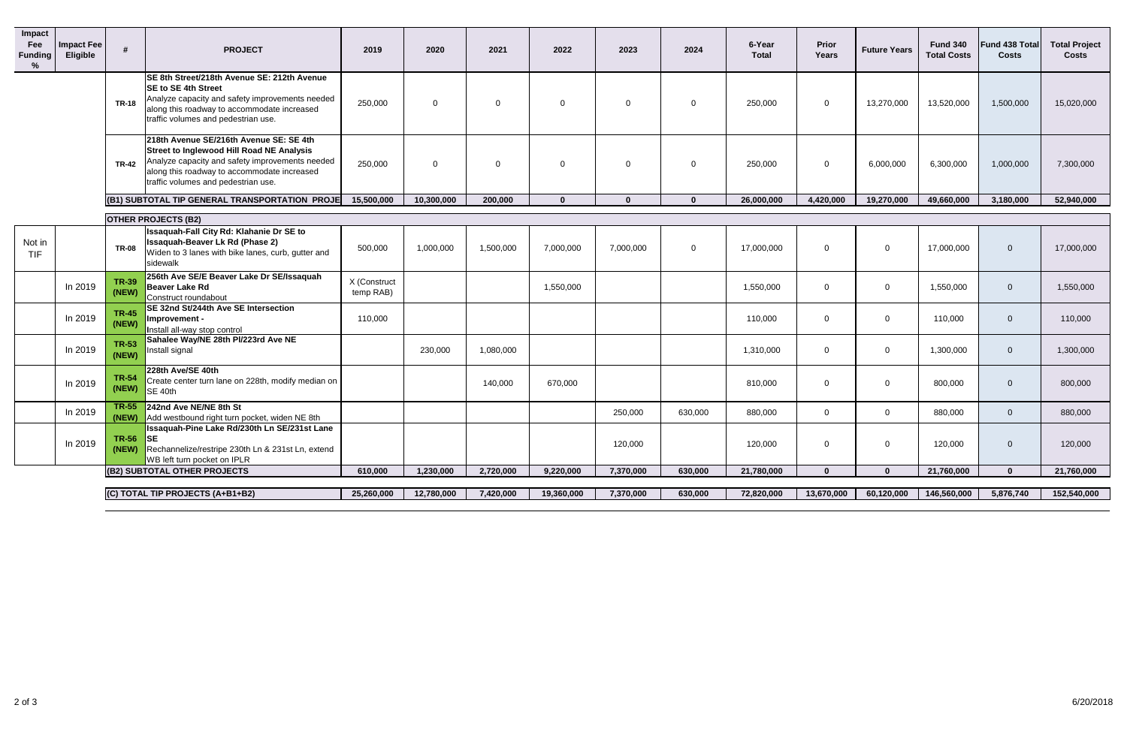| Impact<br>Fee<br><b>Funding</b><br>% | <b>Impact Fee</b><br>Eligible | #                     | <b>PROJECT</b>                                                                                                                                                                                                                | 2019                      | 2020       | 2021           | 2022        | 2023      | 2024           | 6-Year<br><b>Total</b> | Prior<br>Years | <b>Future Years</b> | <b>Fund 340</b><br><b>Total Costs</b> | Fund 438 Total<br><b>Costs</b> | <b>Total Project</b><br><b>Costs</b> |
|--------------------------------------|-------------------------------|-----------------------|-------------------------------------------------------------------------------------------------------------------------------------------------------------------------------------------------------------------------------|---------------------------|------------|----------------|-------------|-----------|----------------|------------------------|----------------|---------------------|---------------------------------------|--------------------------------|--------------------------------------|
|                                      |                               | <b>TR-18</b>          | SE 8th Street/218th Avenue SE: 212th Avenue<br><b>SE to SE 4th Street</b><br>Analyze capacity and safety improvements needed<br>along this roadway to accommodate increased<br>traffic volumes and pedestrian use.            | 250,000                   | $\Omega$   | $\overline{0}$ | $\mathbf 0$ | $\Omega$  | $\Omega$       | 250,000                | $\overline{0}$ | 13,270,000          | 13,520,000                            | 1,500,000                      | 15,020,000                           |
|                                      |                               | <b>TR-42</b>          | 218th Avenue SE/216th Avenue SE: SE 4th<br>Street to Inglewood Hill Road NE Analysis<br>Analyze capacity and safety improvements needed<br>along this roadway to accommodate increased<br>traffic volumes and pedestrian use. | 250,000                   | $\Omega$   | $\Omega$       | $\mathbf 0$ | $\Omega$  | $\mathbf{0}$   | 250,000                | $\overline{0}$ | 6,000,000           | 6,300,000                             | 1,000,000                      | 7,300,000                            |
|                                      |                               |                       | (B1) SUBTOTAL TIP GENERAL TRANSPORTATION PROJE                                                                                                                                                                                | 15,500,000                | 10,300,000 | 200,000        | $\Omega$    | $\Omega$  | $\mathbf{0}$   | 26,000,000             | 4,420,000      | 19,270,000          | 49,660,000                            | 3,180,000                      | 52,940,000                           |
|                                      |                               |                       | <b>OTHER PROJECTS (B2)</b>                                                                                                                                                                                                    |                           |            |                |             |           |                |                        |                |                     |                                       |                                |                                      |
| Not in<br>TIF                        |                               | <b>TR-08</b>          | Issaquah-Fall City Rd: Klahanie Dr SE to<br><b>Issaquah-Beaver Lk Rd (Phase 2)</b><br>Widen to 3 lanes with bike lanes, curb, gutter and<br>sidewalk                                                                          | 500,000                   | 1,000,000  | 1,500,000      | 7,000,000   | 7,000,000 | $\overline{0}$ | 17,000,000             | $\Omega$       | $\overline{0}$      | 17,000,000                            | $\Omega$                       | 17,000,000                           |
|                                      | In 2019                       | <b>TR-39</b><br>(NEW) | 256th Ave SE/E Beaver Lake Dr SE/Issaquah<br>Beaver Lake Rd<br>Construct roundabout                                                                                                                                           | X (Construct<br>temp RAB) |            |                | 1,550,000   |           |                | 1,550,000              | $\Omega$       | $\overline{0}$      | 1,550,000                             | $\mathbf{0}$                   | 1,550,000                            |
|                                      | In 2019                       | <b>TR-45</b><br>(NEW) | SE 32nd St/244th Ave SE Intersection<br>Improvement -<br>Install all-way stop control                                                                                                                                         | 110,000                   |            |                |             |           |                | 110,000                | $\Omega$       | $\mathbf{0}$        | 110,000                               | $\overline{0}$                 | 110,000                              |
|                                      | In 2019                       | <b>TR-53</b><br>(NEW) | Sahalee Way/NE 28th PI/223rd Ave NE<br>Install signal                                                                                                                                                                         |                           | 230,000    | 1,080,000      |             |           |                | 1,310,000              | $\Omega$       | $\overline{0}$      | 1,300,000                             | $\mathbf{0}$                   | 1,300,000                            |
|                                      | In 2019                       | <b>TR-54</b><br>(NEW) | 228th Ave/SE 40th<br>Create center turn lane on 228th, modify median on<br>$\overline{\phantom{a}}$ SE 40th                                                                                                                   |                           |            | 140,000        | 670,000     |           |                | 810,000                | $\Omega$       | $\overline{0}$      | 800,000                               | $\mathbf{0}$                   | 800,000                              |
|                                      | In 2019                       | <b>TR-55</b>          | 242nd Ave NE/NE 8th St<br>(NEW) Add westbound right turn pocket, widen NE 8th                                                                                                                                                 |                           |            |                |             | 250,000   | 630,000        | 880,000                | $\mathbf 0$    | $\mathbf{0}$        | 880,000                               | $\overline{0}$                 | 880,000                              |
|                                      | In 2019                       | $TR-56$ SE            | Issaquah-Pine Lake Rd/230th Ln SE/231st Lane<br>(NEW) Rechannelize/restripe 230th Ln & 231st Ln, extend<br>WB left turn pocket on IPLR                                                                                        |                           |            |                |             | 120,000   |                | 120,000                | $\mathbf 0$    | $\mathbf 0$         | 120,000                               | $\mathbf 0$                    | 120,000                              |
|                                      |                               |                       | (B2) SUBTOTAL OTHER PROJECTS                                                                                                                                                                                                  | 610,000                   | 1,230,000  | 2,720,000      | 9,220,000   | 7,370,000 | 630,000        | 21,780,000             | $\mathbf{0}$   | $\mathbf{0}$        | 21,760,000                            | $\mathbf 0$                    | 21,760,000                           |
|                                      |                               |                       | (C) TOTAL TIP PROJECTS (A+B1+B2)                                                                                                                                                                                              | 25,260,000                | 12,780,000 | 7,420,000      | 19,360,000  | 7,370,000 | 630,000        | 72,820,000             | 13,670,000     | 60,120,000          | 146,560,000                           | 5,876,740                      | 152,540,000                          |